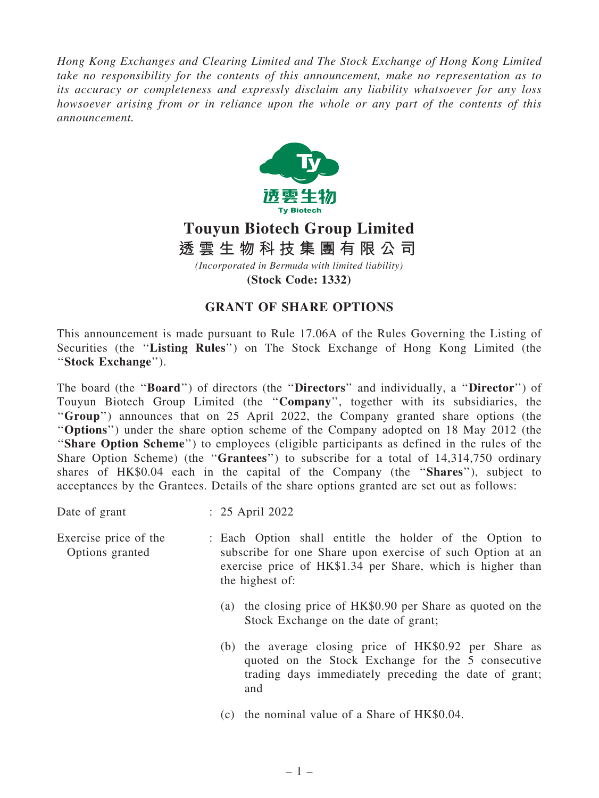*Hong Kong Exchanges and Clearing Limited and The Stock Exchange of Hong Kong Limited take no responsibility for the contents of this announcement, make no representation as to its accuracy or completeness and expressly disclaim any liability whatsoever for any loss howsoever arising from or in reliance upon the whole or any part of the contents of this announcement.*



## **Touyun Biotech Group Limited** *(Incorporated in Bermuda with limited liability)* **透 雲 生 物 科 技 集 團 有 限 公 司**

**(Stock Code: 1332)**

## GRANT OF SHARE OPTIONS

This announcement is made pursuant to Rule 17.06A of the Rules Governing the Listing of Securities (the ''Listing Rules'') on The Stock Exchange of Hong Kong Limited (the ''Stock Exchange'').

The board (the "Board") of directors (the "Directors" and individually, a "Director") of Touyun Biotech Group Limited (the ''Company'', together with its subsidiaries, the ''Group'') announces that on 25 April 2022, the Company granted share options (the ''Options'') under the share option scheme of the Company adopted on 18 May 2012 (the ''Share Option Scheme'') to employees (eligible participants as defined in the rules of the Share Option Scheme) (the "Grantees") to subscribe for a total of 14,314,750 ordinary shares of HK\$0.04 each in the capital of the Company (the "Shares"), subject to acceptances by the Grantees. Details of the share options granted are set out as follows:

Date of grant : 25 April 2022

Exercise price of the Options granted : Each Option shall entitle the holder of the Option to subscribe for one Share upon exercise of such Option at an exercise price of HK\$1.34 per Share, which is higher than the highest of:

- (a) the closing price of HK\$0.90 per Share as quoted on the Stock Exchange on the date of grant;
- (b) the average closing price of HK\$0.92 per Share as quoted on the Stock Exchange for the 5 consecutive trading days immediately preceding the date of grant; and
- (c) the nominal value of a Share of HK\$0.04.